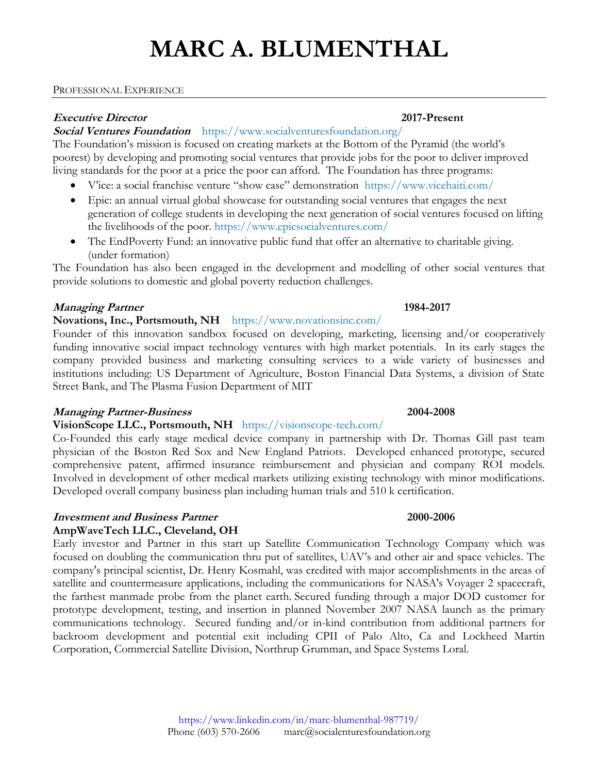#### PROFESSIONAL EXPERIENCE

### **Executive Director 2017-Present**

# **Social Ventures Foundation** <https://www.socialventuresfoundation.org/>

The Foundation's mission is focused on creating markets at the Bottom of the Pyramid (the world's poorest) by developing and promoting social ventures that provide jobs for the poor to deliver improved living standards for the poor at a price the poor can afford. The Foundation has three programs:

- V'ice: a social franchise venture "show case" demonstration <https://www.vicehaiti.com/>
- Epic: an annual virtual global showcase for outstanding social ventures that engages the next generation of college students in developing the next generation of social ventures focused on lifting the livelihoods of the poor. <https://www.epicsocialventures.com/>
- The EndPoverty Fund: an innovative public fund that offer an alternative to charitable giving. (under formation)

The Foundation has also been engaged in the development and modelling of other social ventures that provide solutions to domestic and global poverty reduction challenges.

# **Managing Partner 1984-2017**

# **Novations, Inc., Portsmouth, NH** <https://www.novationsinc.com/>

Founder of this innovation sandbox focused on developing, marketing, licensing and/or cooperatively funding innovative social impact technology ventures with high market potentials. In its early stages the company provided business and marketing consulting services to a wide variety of businesses and institutions including: US Department of Agriculture, Boston Financial Data Systems, a division of State Street Bank, and The Plasma Fusion Department of MIT

### **Managing Partner-Business 2004-2008**

### **VisionScope LLC., Portsmouth, NH** <https://visionscope-tech.com/>

Co-Founded this early stage medical device company in partnership with Dr. Thomas Gill past team physician of the Boston Red Sox and New England Patriots. Developed enhanced prototype, secured comprehensive patent, affirmed insurance reimbursement and physician and company ROI models. Involved in development of other medical markets utilizing existing technology with minor modifications. Developed overall company business plan including human trials and 510 k certification.

# **Investment and Business Partner 2000-2006**

# **AmpWaveTech LLC., Cleveland, OH**

Early investor and Partner in this start up Satellite Communication Technology Company which was focused on doubling the communication thru put of satellites, UAV's and other air and space vehicles. The company's principal scientist, Dr. Henry Kosmahl, was credited with major accomplishments in the areas of satellite and countermeasure applications, including the communications for NASA's Voyager 2 spacecraft, the farthest manmade probe from the planet earth. Secured funding through a major DOD customer for prototype development, testing, and insertion in planned November 2007 NASA launch as the primary communications technology. Secured funding and/or in-kind contribution from additional partners for backroom development and potential exit including CPII of Palo Alto, Ca and Lockheed Martin Corporation, Commercial Satellite Division, Northrup Grumman, and Space Systems Loral.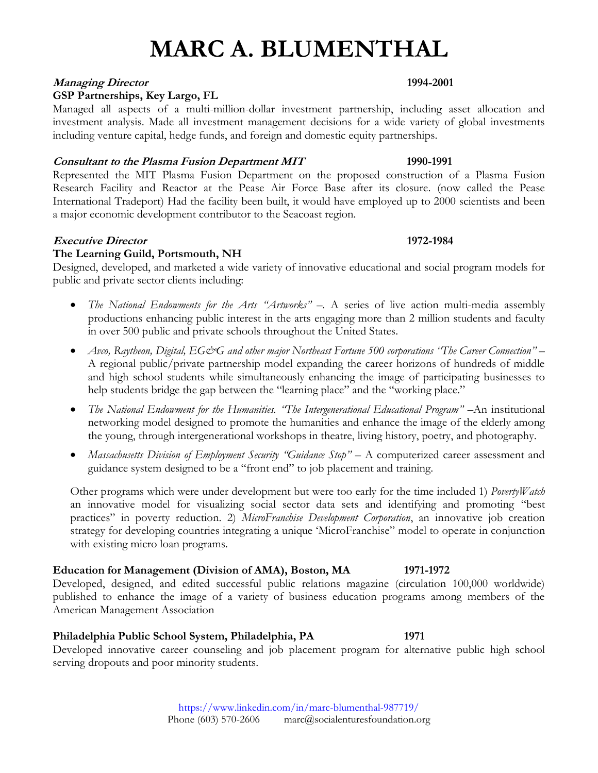## **Managing Director 1994-2001**

# **GSP Partnerships, Key Largo, FL**

Managed all aspects of a multi-million-dollar investment partnership, including asset allocation and investment analysis. Made all investment management decisions for a wide variety of global investments including venture capital, hedge funds, and foreign and domestic equity partnerships.

## **Consultant to the Plasma Fusion Department MIT 1990-1991**

Represented the MIT Plasma Fusion Department on the proposed construction of a Plasma Fusion Research Facility and Reactor at the Pease Air Force Base after its closure. (now called the Pease International Tradeport) Had the facility been built, it would have employed up to 2000 scientists and been a major economic development contributor to the Seacoast region.

## **Executive Director 1972-1984**

# **The Learning Guild, Portsmouth, NH**

Designed, developed, and marketed a wide variety of innovative educational and social program models for public and private sector clients including:

- *The National Endowments for the Arts "Artworks" –.* A series of live action multi-media assembly productions enhancing public interest in the arts engaging more than 2 million students and faculty in over 500 public and private schools throughout the United States.
- *Avco, Raytheon, Digital, EG&G and other major Northeast Fortune 500 corporations "The Career Connection" –* A regional public/private partnership model expanding the career horizons of hundreds of middle and high school students while simultaneously enhancing the image of participating businesses to help students bridge the gap between the "learning place" and the "working place."
- *The National Endowment for the Humanities. "The Intergenerational Educational Program" –*An institutional networking model designed to promote the humanities and enhance the image of the elderly among the young, through intergenerational workshops in theatre, living history, poetry, and photography.
- *Massachusetts Division of Employment Security "Guidance Stop"* A computerized career assessment and guidance system designed to be a "front end" to job placement and training.

Other programs which were under development but were too early for the time included 1) *PovertyWatch* an innovative model for visualizing social sector data sets and identifying and promoting "best practices" in poverty reduction. 2) *MicroFranchise Development Corporation*, an innovative job creation strategy for developing countries integrating a unique 'MicroFranchise" model to operate in conjunction with existing micro loan programs.

# **Education for Management (Division of AMA), Boston, MA 1971-1972**

Developed, designed, and edited successful public relations magazine (circulation 100,000 worldwide) published to enhance the image of a variety of business education programs among members of the American Management Association

### **Philadelphia Public School System, Philadelphia, PA 1971**

Developed innovative career counseling and job placement program for alternative public high school serving dropouts and poor minority students.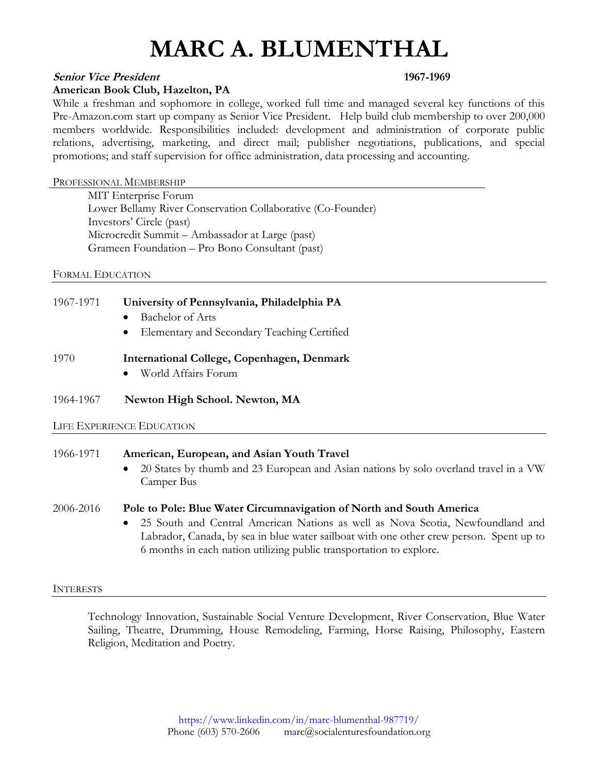### **Senior Vice President 1967-1969**

#### **American Book Club, Hazelton, PA**

While a freshman and sophomore in college, worked full time and managed several key functions of this Pre-Amazon.com start up company as Senior Vice President. Help build club membership to over 200,000 members worldwide. Responsibilities included: development and administration of corporate public relations, advertising, marketing, and direct mail; publisher negotiations, publications, and special promotions; and staff supervision for office administration, data processing and accounting.

#### PROFESSIONAL MEMBERSHIP

MIT Enterprise Forum Lower Bellamy River Conservation Collaborative (Co-Founder) Investors' Circle (past) Microcredit Summit – Ambassador at Large (past) Grameen Foundation – Pro Bono Consultant (past)

FORMAL EDUCATION

# 1967-1971 **University of Pennsylvania, Philadelphia PA**

- Bachelor of Arts
- Elementary and Secondary Teaching Certified

### 1970 **International College, Copenhagen, Denmark**

• World Affairs Forum

### 1964-1967 **Newton High School. Newton, MA**

#### LIFE EXPERIENCE EDUCATION

# 1966-1971 **American, European, and Asian Youth Travel**

• 20 States by thumb and 23 European and Asian nations by solo overland travel in a VW Camper Bus

#### 2006-2016 **Pole to Pole: Blue Water Circumnavigation of North and South America**

• 25 South and Central American Nations as well as Nova Scotia, Newfoundland and Labrador, Canada, by sea in blue water sailboat with one other crew person. Spent up to 6 months in each nation utilizing public transportation to explore.

#### INTERESTS

Technology Innovation, Sustainable Social Venture Development, River Conservation, Blue Water Sailing, Theatre, Drumming, House Remodeling, Farming, Horse Raising, Philosophy, Eastern Religion, Meditation and Poetry.